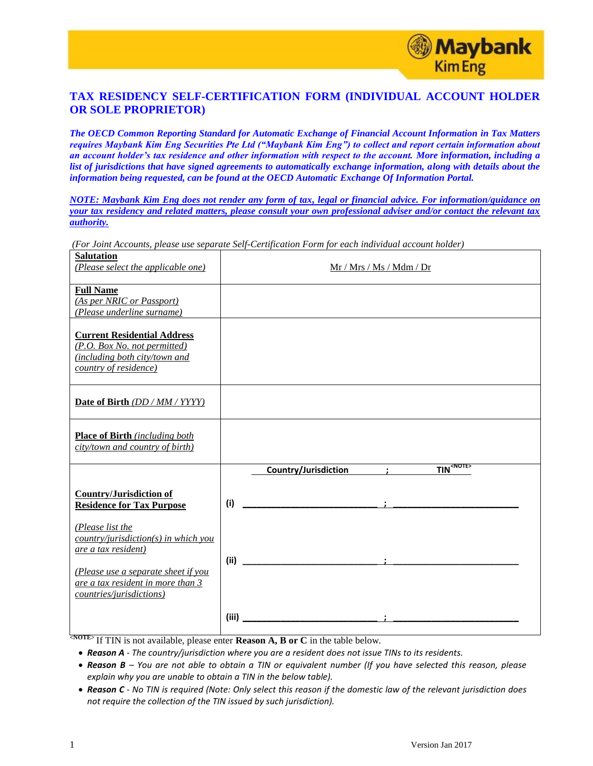

## **TAX RESIDENCY SELF-CERTIFICATION FORM (INDIVIDUAL ACCOUNT HOLDER OR SOLE PROPRIETOR)**

*The OECD Common Reporting Standard for Automatic Exchange of Financial Account Information in Tax Matters requires Maybank Kim Eng Securities Pte Ltd ("Maybank Kim Eng") to collect and report certain information about an account holder's tax residence and other information with respect to the account. More information, including a*  list of jurisdictions that have signed agreements to automatically exchange information, along with details about the *information being requested, can be found at the OECD Automatic Exchange Of Information Portal.*

*NOTE: Maybank Kim Eng does not render any form of tax, legal or financial advice. For information/guidance on your tax residency and related matters, please consult your own professional adviser and/or contact the relevant tax authority.* 

| enn 11000 mme, proceso moo sop<br><b>Salutation</b><br>(Please select the applicable one)                                    | Mr / Mrs / Ms / Mdm / Dr                                     |
|------------------------------------------------------------------------------------------------------------------------------|--------------------------------------------------------------|
| <b>Full Name</b><br>(As per NRIC or Passport)<br>(Please underline surname)                                                  |                                                              |
| <b>Current Residential Address</b><br>(P.O. Box No. not permitted)<br>(including both city/town and<br>country of residence) |                                                              |
| Date of Birth (DD / MM / YYYY)                                                                                               |                                                              |
| <b>Place of Birth</b> (including both<br>city/town and country of birth)                                                     |                                                              |
|                                                                                                                              | <b>TIN<sup><note></note></sup></b><br>Country/Jurisdiction ; |
| <b>Country/Jurisdiction of</b><br><b>Residence for Tax Purpose</b>                                                           | (i)                                                          |
| (Please list the<br>country/jurisdiction(s) in which you<br>are a tax resident)                                              | (ii)                                                         |
| (Please use a separate sheet if you<br>are a tax resident in more than 3<br>countries/jurisdictions)                         |                                                              |
|                                                                                                                              | (iii)                                                        |

*(For Joint Accounts, please use separate Self-Certification Form for each individual account holder)*

**EXICTED** If TIN is not available, please enter **Reason A, B or C** in the table below.

- *Reason A - The country/jurisdiction where you are a resident does not issue TINs to its residents.*
- *Reason B – You are not able to obtain a TIN or equivalent number (If you have selected this reason, please explain why you are unable to obtain a TIN in the below table).*
- *Reason C - No TIN is required (Note: Only select this reason if the domestic law of the relevant jurisdiction does not require the collection of the TIN issued by such jurisdiction).*